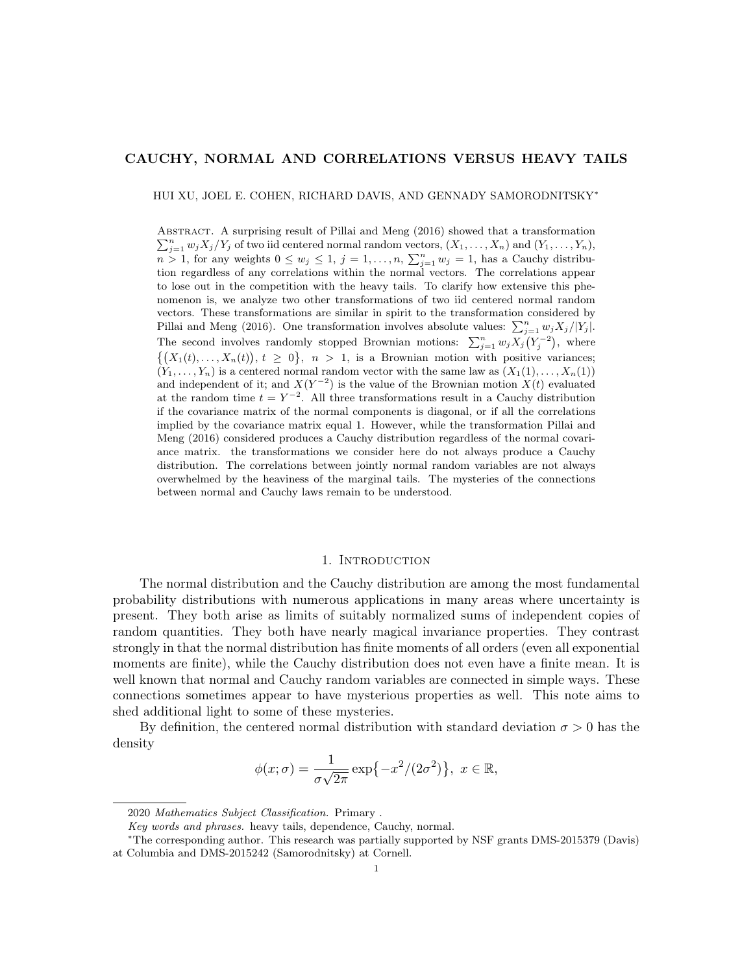# CAUCHY, NORMAL AND CORRELATIONS VERSUS HEAVY TAILS

HUI XU, JOEL E. COHEN, RICHARD DAVIS, AND GENNADY SAMORODNITSKY<sup>∗</sup>

ABSTRACT. A surprising result of Pillai and Meng (2016) showed that a transformation  $\sum_{j=1}^n w_j X_j/Y_j$  of two iid centered normal random vectors,  $(X_1, \ldots, X_n)$  and  $(Y_1, \ldots, Y_n)$ ,  $n > 1$ , for any weights  $0 \leq w_j \leq 1$ ,  $j = 1, \ldots, n$ ,  $\sum_{j=1}^n w_j = 1$ , has a Cauchy distribution regardless of any correlations within the normal vectors. The correlations appear to lose out in the competition with the heavy tails. To clarify how extensive this phenomenon is, we analyze two other transformations of two iid centered normal random vectors. These transformations are similar in spirit to the transformation considered by Pillai and Meng (2016). One transformation involves absolute values:  $\sum_{j=1}^{n} w_j X_j/|Y_j|$ . The second involves randomly stopped Brownian motions:  $\sum_{j=1}^{n} w_j X_j(Y_j^{-2})$ , where  $\{(X_1(t),...,X_n(t)), t \geq 0\}, n > 1$ , is a Brownian motion with positive variances;  $(Y_1, \ldots, Y_n)$  is a centered normal random vector with the same law as  $(X_1(1), \ldots, X_n(1))$ and independent of it; and  $X(Y^{-2})$  is the value of the Brownian motion  $X(t)$  evaluated at the random time  $t = Y^{-2}$ . All three transformations result in a Cauchy distribution if the covariance matrix of the normal components is diagonal, or if all the correlations implied by the covariance matrix equal 1. However, while the transformation Pillai and Meng (2016) considered produces a Cauchy distribution regardless of the normal covariance matrix. the transformations we consider here do not always produce a Cauchy distribution. The correlations between jointly normal random variables are not always overwhelmed by the heaviness of the marginal tails. The mysteries of the connections between normal and Cauchy laws remain to be understood.

### 1. INTRODUCTION

The normal distribution and the Cauchy distribution are among the most fundamental probability distributions with numerous applications in many areas where uncertainty is present. They both arise as limits of suitably normalized sums of independent copies of random quantities. They both have nearly magical invariance properties. They contrast strongly in that the normal distribution has finite moments of all orders (even all exponential moments are finite), while the Cauchy distribution does not even have a finite mean. It is well known that normal and Cauchy random variables are connected in simple ways. These connections sometimes appear to have mysterious properties as well. This note aims to shed additional light to some of these mysteries.

By definition, the centered normal distribution with standard deviation  $\sigma > 0$  has the density

$$
\phi(x;\sigma) = \frac{1}{\sigma\sqrt{2\pi}}\exp\{-x^2/(2\sigma^2)\}, x \in \mathbb{R},
$$

<sup>2020</sup> Mathematics Subject Classification. Primary .

Key words and phrases. heavy tails, dependence, Cauchy, normal.

<sup>∗</sup>The corresponding author. This research was partially supported by NSF grants DMS-2015379 (Davis) at Columbia and DMS-2015242 (Samorodnitsky) at Cornell.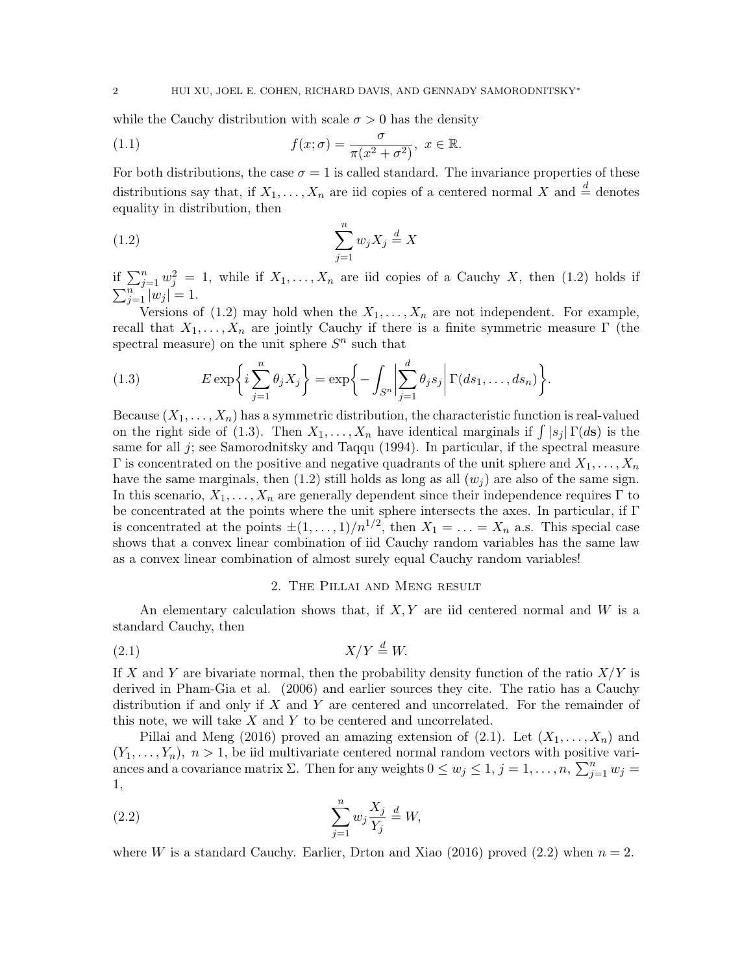while the Cauchy distribution with scale  $\sigma > 0$  has the density

(1.1) 
$$
f(x; \sigma) = \frac{\sigma}{\pi(x^2 + \sigma^2)}, \ x \in \mathbb{R}.
$$

For both distributions, the case  $\sigma = 1$  is called standard. The invariance properties of these distributions say that, if  $X_1, \ldots, X_n$  are iid copies of a centered normal X and  $\stackrel{d}{=}$  denotes equality in distribution, then

$$
\sum_{j=1}^{n} w_j X_j \stackrel{d}{=} X
$$

if  $\sum_{j=1}^n w_j^2 = 1$ , while if  $X_1, \ldots, X_n$  are iid copies of a Cauchy X, then (1.2) holds if  $\sum_{j=1}^{n} |w_j| = 1.$ 

Versions of (1.2) may hold when the  $X_1, \ldots, X_n$  are not independent. For example, recall that  $X_1, \ldots, X_n$  are jointly Cauchy if there is a finite symmetric measure Γ (the spectral measure) on the unit sphere  $S<sup>n</sup>$  such that

(1.3) 
$$
E \exp\left\{i \sum_{j=1}^{n} \theta_j X_j\right\} = \exp\left\{-\int_{S^n} \left|\sum_{j=1}^d \theta_j s_j\right| \Gamma(ds_1, \dots, ds_n)\right\}.
$$

Because  $(X_1, \ldots, X_n)$  has a symmetric distribution, the characteristic function is real-valued on the right side of (1.3). Then  $X_1, \ldots, X_n$  have identical marginals if  $\int |s_j| \Gamma(d\mathbf{s})$  is the same for all  $j$ ; see Samorodnitsky and Taqqu (1994). In particular, if the spectral measure  $\Gamma$  is concentrated on the positive and negative quadrants of the unit sphere and  $X_1, \ldots, X_n$ have the same marginals, then (1.2) still holds as long as all  $(w_j)$  are also of the same sign. In this scenario,  $X_1, \ldots, X_n$  are generally dependent since their independence requires Γ to be concentrated at the points where the unit sphere intersects the axes. In particular, if Γ is concentrated at the points  $\pm (1, \ldots, 1)/n^{1/2}$ , then  $X_1 = \ldots = X_n$  a.s. This special case shows that a convex linear combination of iid Cauchy random variables has the same law as a convex linear combination of almost surely equal Cauchy random variables!

### 2. The Pillai and Meng result

An elementary calculation shows that, if  $X, Y$  are iid centered normal and W is a standard Cauchy, then

$$
(2.1) \t\t X/Y \stackrel{d}{=} W.
$$

If X and Y are bivariate normal, then the probability density function of the ratio  $X/Y$  is derived in Pham-Gia et al. (2006) and earlier sources they cite. The ratio has a Cauchy distribution if and only if  $X$  and  $Y$  are centered and uncorrelated. For the remainder of this note, we will take  $X$  and  $Y$  to be centered and uncorrelated.

Pillai and Meng (2016) proved an amazing extension of (2.1). Let  $(X_1, \ldots, X_n)$  and  $(Y_1, \ldots, Y_n)$ ,  $n > 1$ , be iid multivariate centered normal random vectors with positive variances and a covariance matrix  $\Sigma$ . Then for any weights  $0 \leq w_j \leq 1, j = 1, \ldots, n$ ,  $\sum_{j=1}^n w_j =$ 1,

(2.2) 
$$
\sum_{j=1}^{n} w_j \frac{X_j}{Y_j} \stackrel{d}{=} W,
$$

where W is a standard Cauchy. Earlier, Drton and Xiao (2016) proved (2.2) when  $n = 2$ .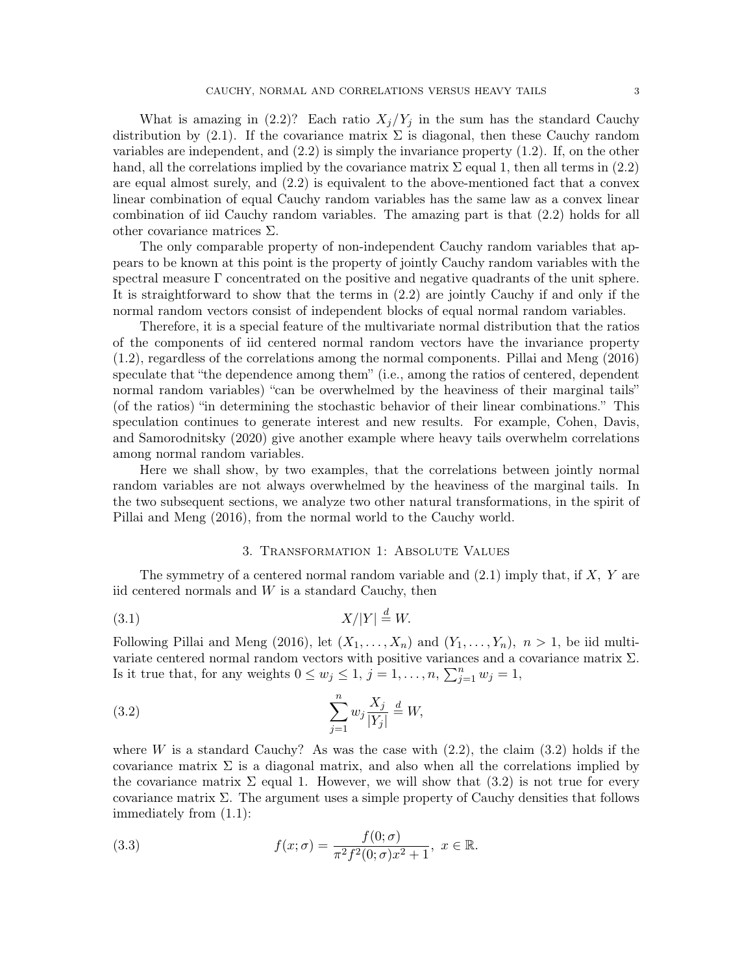What is amazing in  $(2.2)$ ? Each ratio  $X_j/Y_j$  in the sum has the standard Cauchy distribution by (2.1). If the covariance matrix  $\Sigma$  is diagonal, then these Cauchy random variables are independent, and  $(2.2)$  is simply the invariance property  $(1.2)$ . If, on the other hand, all the correlations implied by the covariance matrix  $\Sigma$  equal 1, then all terms in (2.2) are equal almost surely, and (2.2) is equivalent to the above-mentioned fact that a convex linear combination of equal Cauchy random variables has the same law as a convex linear combination of iid Cauchy random variables. The amazing part is that (2.2) holds for all other covariance matrices  $\Sigma$ .

The only comparable property of non-independent Cauchy random variables that appears to be known at this point is the property of jointly Cauchy random variables with the spectral measure  $\Gamma$  concentrated on the positive and negative quadrants of the unit sphere. It is straightforward to show that the terms in (2.2) are jointly Cauchy if and only if the normal random vectors consist of independent blocks of equal normal random variables.

Therefore, it is a special feature of the multivariate normal distribution that the ratios of the components of iid centered normal random vectors have the invariance property (1.2), regardless of the correlations among the normal components. Pillai and Meng (2016) speculate that "the dependence among them" (i.e., among the ratios of centered, dependent normal random variables) "can be overwhelmed by the heaviness of their marginal tails" (of the ratios) "in determining the stochastic behavior of their linear combinations." This speculation continues to generate interest and new results. For example, Cohen, Davis, and Samorodnitsky (2020) give another example where heavy tails overwhelm correlations among normal random variables.

Here we shall show, by two examples, that the correlations between jointly normal random variables are not always overwhelmed by the heaviness of the marginal tails. In the two subsequent sections, we analyze two other natural transformations, in the spirit of Pillai and Meng (2016), from the normal world to the Cauchy world.

## 3. Transformation 1: Absolute Values

The symmetry of a centered normal random variable and  $(2.1)$  imply that, if  $X$ ,  $Y$  are iid centered normals and  $W$  is a standard Cauchy, then

$$
(3.1)\t\t\t X/|Y| \stackrel{d}{=} W.
$$

Following Pillai and Meng (2016), let  $(X_1, \ldots, X_n)$  and  $(Y_1, \ldots, Y_n)$ ,  $n > 1$ , be iid multivariate centered normal random vectors with positive variances and a covariance matrix  $\Sigma$ . Is it true that, for any weights  $0 \le w_j \le 1$ ,  $j = 1, \ldots, n$ ,  $\sum_{j=1}^n w_j = 1$ ,

(3.2) 
$$
\sum_{j=1}^{n} w_j \frac{X_j}{|Y_j|} \stackrel{d}{=} W,
$$

where W is a standard Cauchy? As was the case with  $(2.2)$ , the claim  $(3.2)$  holds if the covariance matrix  $\Sigma$  is a diagonal matrix, and also when all the correlations implied by the covariance matrix  $\Sigma$  equal 1. However, we will show that (3.2) is not true for every covariance matrix  $\Sigma$ . The argument uses a simple property of Cauchy densities that follows immediately from (1.1):

(3.3) 
$$
f(x; \sigma) = \frac{f(0; \sigma)}{\pi^2 f^2(0; \sigma) x^2 + 1}, \ x \in \mathbb{R}.
$$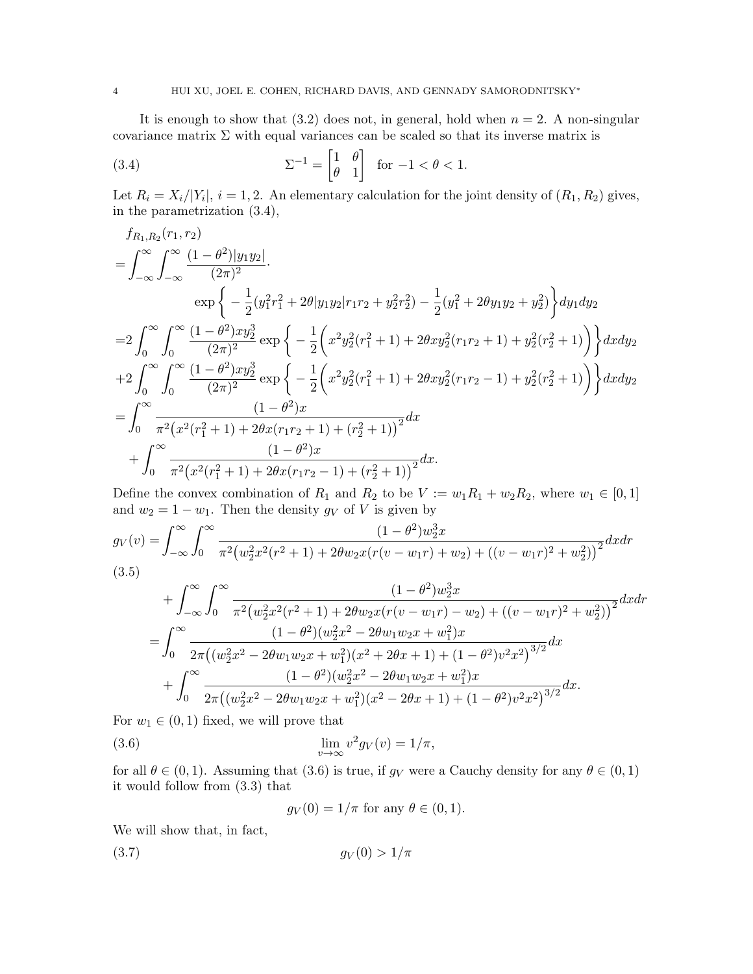It is enough to show that  $(3.2)$  does not, in general, hold when  $n = 2$ . A non-singular covariance matrix  $\Sigma$  with equal variances can be scaled so that its inverse matrix is

(3.4) 
$$
\Sigma^{-1} = \begin{bmatrix} 1 & \theta \\ \theta & 1 \end{bmatrix} \text{ for } -1 < \theta < 1.
$$

Let  $R_i = X_i/|Y_i|, i = 1, 2$ . An elementary calculation for the joint density of  $(R_1, R_2)$  gives, in the parametrization (3.4),

$$
f_{R_1,R_2}(r_1,r_2)
$$
\n
$$
= \int_{-\infty}^{\infty} \int_{-\infty}^{\infty} \frac{(1-\theta^2)|y_1y_2|}{(2\pi)^2}.
$$
\n
$$
\exp\left\{-\frac{1}{2}(y_1^2r_1^2 + 2\theta|y_1y_2|r_1r_2 + y_2^2r_2^2) - \frac{1}{2}(y_1^2 + 2\theta y_1y_2 + y_2^2)\right\} dy_1dy_2
$$
\n
$$
= 2\int_{0}^{\infty} \int_{0}^{\infty} \frac{(1-\theta^2)xy_2^3}{(2\pi)^2} \exp\left\{-\frac{1}{2}\left(x^2y_2^2(r_1^2+1) + 2\theta xy_2^2(r_1r_2+1) + y_2^2(r_2^2+1)\right)\right\}dxdy_2
$$
\n
$$
+ 2\int_{0}^{\infty} \int_{0}^{\infty} \frac{(1-\theta^2)xy_2^3}{(2\pi)^2} \exp\left\{-\frac{1}{2}\left(x^2y_2^2(r_1^2+1) + 2\theta xy_2^2(r_1r_2-1) + y_2^2(r_2^2+1)\right)\right\}dxdy_2
$$
\n
$$
= \int_{0}^{\infty} \frac{(1-\theta^2)x}{\pi^2(x^2(r_1^2+1) + 2\theta x(r_1r_2+1) + (r_2^2+1))^2}dx
$$
\n
$$
+ \int_{0}^{\infty} \frac{(1-\theta^2)x}{\pi^2(x^2(r_1^2+1) + 2\theta x(r_1r_2-1) + (r_2^2+1))^2}dx.
$$

Define the convex combination of  $R_1$  and  $R_2$  to be  $V := w_1R_1 + w_2R_2$ , where  $w_1 \in [0,1]$ and  $w_2 = 1 - w_1$ . Then the density  $g_V$  of V is given by

$$
g_V(v) = \int_{-\infty}^{\infty} \int_0^{\infty} \frac{(1 - \theta^2)w_2^3 x}{\pi^2 (w_2^2 x^2 (r^2 + 1) + 2\theta w_2 x (r(v - w_1 r) + w_2) + ((v - w_1 r)^2 + w_2^2))^2} dx dr
$$
  
(3.5)

$$
+\int_{-\infty}^{\infty} \int_{0}^{\infty} \frac{(1-\theta^2)w_2^3 x}{\pi^2 (w_2^2 x^2 (r^2+1) + 2\theta w_2 x (r(v-w_1r) - w_2) + ((v-w_1r)^2 + w_2^2))^2} dx dr
$$
  
= 
$$
\int_{0}^{\infty} \frac{(1-\theta^2)(w_2^2 x^2 - 2\theta w_1 w_2 x + w_1^2)x}{2\pi ((w_2^2 x^2 - 2\theta w_1 w_2 x + w_1^2)(x^2 + 2\theta x + 1) + (1 - \theta^2)v^2 x^2)^{3/2}} dx
$$
  
+ 
$$
\int_{0}^{\infty} \frac{(1-\theta^2)(w_2^2 x^2 - 2\theta w_1 w_2 x + w_1^2)x}{2\pi ((w_2^2 x^2 - 2\theta w_1 w_2 x + w_1^2)(x^2 - 2\theta x + 1) + (1 - \theta^2)v^2 x^2)^{3/2}} dx.
$$

For  $w_1 \in (0, 1)$  fixed, we will prove that

(3.6) 
$$
\lim_{v \to \infty} v^2 g_V(v) = 1/\pi,
$$

for all  $\theta \in (0,1)$ . Assuming that (3.6) is true, if  $g_V$  were a Cauchy density for any  $\theta \in (0,1)$ it would follow from (3.3) that

$$
g_V(0) = 1/\pi \text{ for any } \theta \in (0,1).
$$

We will show that, in fact,

(3.7) g<sup>V</sup> (0) > 1/π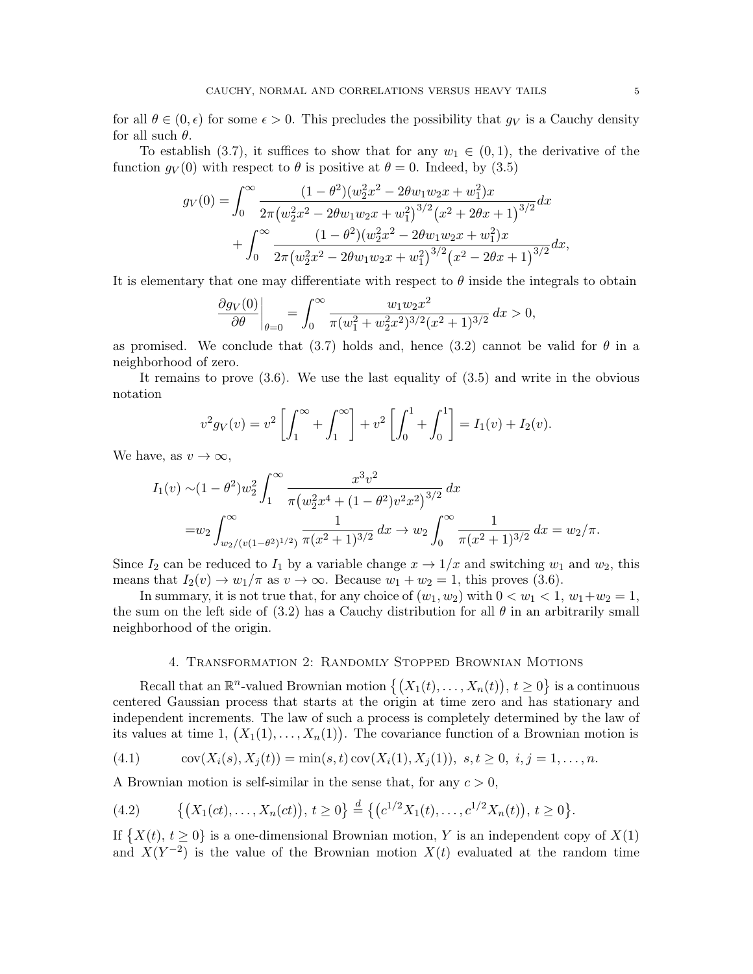for all  $\theta \in (0, \epsilon)$  for some  $\epsilon > 0$ . This precludes the possibility that  $g_V$  is a Cauchy density for all such  $\theta$ .

To establish (3.7), it suffices to show that for any  $w_1 \in (0,1)$ , the derivative of the function  $g_V(0)$  with respect to  $\theta$  is positive at  $\theta = 0$ . Indeed, by (3.5)

$$
g_V(0) = \int_0^\infty \frac{(1-\theta^2)(w_2^2x^2 - 2\theta w_1w_2x + w_1^2)x}{2\pi(w_2^2x^2 - 2\theta w_1w_2x + w_1^2)^{3/2}(x^2 + 2\theta x + 1)^{3/2}} dx + \int_0^\infty \frac{(1-\theta^2)(w_2^2x^2 - 2\theta w_1w_2x + w_1^2)x}{2\pi(w_2^2x^2 - 2\theta w_1w_2x + w_1^2)^{3/2}(x^2 - 2\theta x + 1)^{3/2}} dx,
$$

It is elementary that one may differentiate with respect to  $\theta$  inside the integrals to obtain

$$
\frac{\partial g_V(0)}{\partial \theta}\bigg|_{\theta=0} = \int_0^\infty \frac{w_1 w_2 x^2}{\pi (w_1^2 + w_2^2 x^2)^{3/2} (x^2 + 1)^{3/2}} dx > 0,
$$

as promised. We conclude that (3.7) holds and, hence (3.2) cannot be valid for  $\theta$  in a neighborhood of zero.

It remains to prove (3.6). We use the last equality of (3.5) and write in the obvious notation

$$
v^2 g_V(v) = v^2 \left[ \int_1^{\infty} + \int_1^{\infty} \right] + v^2 \left[ \int_0^1 + \int_0^1 \right] = I_1(v) + I_2(v).
$$

We have, as  $v \to \infty$ ,

$$
I_1(v) \sim (1 - \theta^2) w_2^2 \int_1^{\infty} \frac{x^3 v^2}{\pi (w_2^2 x^4 + (1 - \theta^2) v^2 x^2)^{3/2}} dx
$$
  
=  $w_2 \int_{w_2/(v(1 - \theta^2)^{1/2})}^{\infty} \frac{1}{\pi (x^2 + 1)^{3/2}} dx \to w_2 \int_0^{\infty} \frac{1}{\pi (x^2 + 1)^{3/2}} dx = w_2/\pi.$ 

Since  $I_2$  can be reduced to  $I_1$  by a variable change  $x \to 1/x$  and switching  $w_1$  and  $w_2$ , this means that  $I_2(v) \to w_1/\pi$  as  $v \to \infty$ . Because  $w_1 + w_2 = 1$ , this proves (3.6).

In summary, it is not true that, for any choice of  $(w_1, w_2)$  with  $0 < w_1 < 1$ ,  $w_1 + w_2 = 1$ , the sum on the left side of (3.2) has a Cauchy distribution for all  $\theta$  in an arbitrarily small neighborhood of the origin.

## 4. Transformation 2: Randomly Stopped Brownian Motions

Recall that an  $\mathbb{R}^n$ -valued Brownian motion  $\{(X_1(t),...,X_n(t)), t \geq 0\}$  is a continuous centered Gaussian process that starts at the origin at time zero and has stationary and independent increments. The law of such a process is completely determined by the law of its values at time 1,  $(X_1(1),...,X_n(1))$ . The covariance function of a Brownian motion is

(4.1) 
$$
cov(X_i(s), X_j(t)) = min(s, t) cov(X_i(1), X_j(1)), s, t \ge 0, i, j = 1,..., n.
$$

A Brownian motion is self-similar in the sense that, for any  $c > 0$ ,

$$
(4.2) \qquad \{ (X_1(ct), \ldots, X_n(ct)), \ t \geq 0 \} \stackrel{d}{=} \{ (c^{1/2}X_1(t), \ldots, c^{1/2}X_n(t)), \ t \geq 0 \}.
$$

If  $\{X(t), t \geq 0\}$  is a one-dimensional Brownian motion, Y is an independent copy of  $X(1)$ and  $X(Y^{-2})$  is the value of the Brownian motion  $X(t)$  evaluated at the random time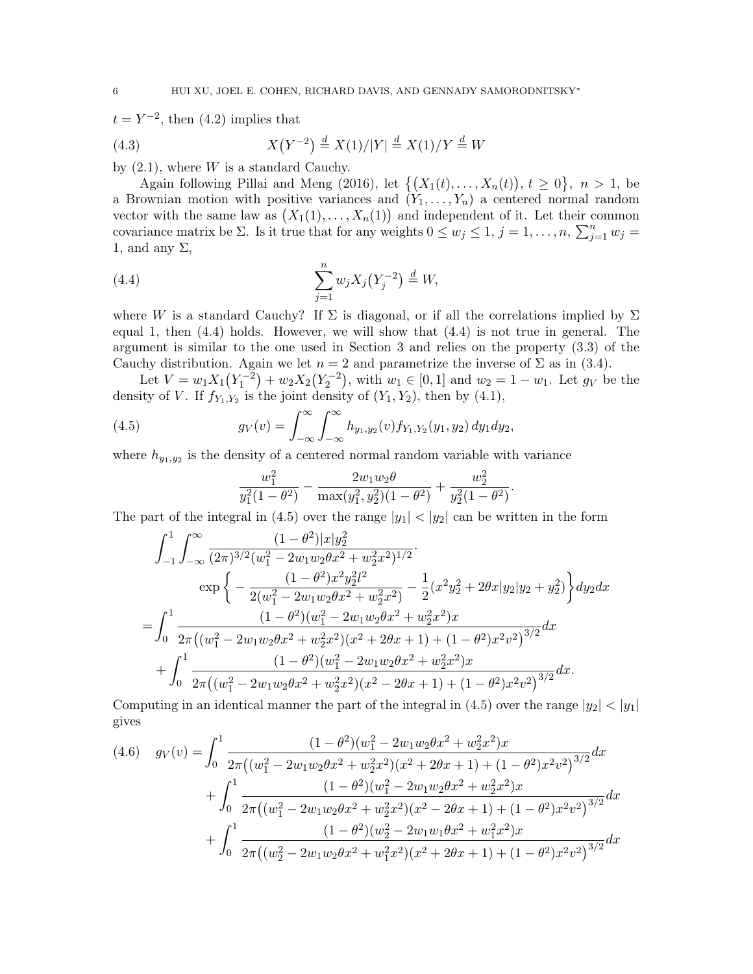$t = Y^{-2}$ , then (4.2) implies that

(4.3) 
$$
X(Y^{-2}) \stackrel{d}{=} X(1)/|Y| \stackrel{d}{=} X(1)/Y \stackrel{d}{=} W
$$

by  $(2.1)$ , where W is a standard Cauchy.

Again following Pillai and Meng (2016), let  $\{(X_1(t),...,X_n(t)), t \geq 0\}, n > 1$ , be a Brownian motion with positive variances and  $(Y_1, \ldots, Y_n)$  a centered normal random vector with the same law as  $(X_1(1),...,X_n(1))$  and independent of it. Let their common covariance matrix be  $\Sigma$ . Is it true that for any weights  $0 \leq w_j \leq 1, j = 1, \ldots, n, \sum_{j=1}^n w_j =$ 1, and any  $\Sigma$ ,

(4.4) 
$$
\sum_{j=1}^{n} w_j X_j (Y_j^{-2}) \stackrel{d}{=} W,
$$

where W is a standard Cauchy? If  $\Sigma$  is diagonal, or if all the correlations implied by  $\Sigma$ equal 1, then (4.4) holds. However, we will show that (4.4) is not true in general. The argument is similar to the one used in Section 3 and relies on the property (3.3) of the Cauchy distribution. Again we let  $n = 2$  and parametrize the inverse of  $\Sigma$  as in (3.4).

Let  $V = w_1 X_1 (Y_1^{-2}) + w_2 X_2 (Y_2^{-2})$ , with  $w_1 \in [0, 1]$  and  $w_2 = 1 - w_1$ . Let  $g_V$  be the density of V. If  $f_{Y_1,Y_2}$  is the joint density of  $(Y_1, Y_2)$ , then by  $(4.1)$ ,

(4.5) 
$$
g_V(v) = \int_{-\infty}^{\infty} \int_{-\infty}^{\infty} h_{y_1, y_2}(v) f_{Y_1, Y_2}(y_1, y_2) dy_1 dy_2,
$$

where  $h_{y_1,y_2}$  is the density of a centered normal random variable with variance

$$
\frac{w_1^2}{y_1^2(1-\theta^2)} - \frac{2w_1w_2\theta}{\max(y_1^2, y_2^2)(1-\theta^2)} + \frac{w_2^2}{y_2^2(1-\theta^2)}.
$$

The part of the integral in (4.5) over the range  $|y_1| < |y_2|$  can be written in the form

$$
\int_{-1}^{1} \int_{-\infty}^{\infty} \frac{(1-\theta^2)|x|y_2^2}{(2\pi)^{3/2}(w_1^2 - 2w_1w_2\theta x^2 + w_2^2x^2)^{1/2}} \cdot \exp\left\{-\frac{(1-\theta^2)x^2y_2^2l^2}{2(w_1^2 - 2w_1w_2\theta x^2 + w_2^2x^2)} - \frac{1}{2}(x^2y_2^2 + 2\theta x|y_2|y_2 + y_2^2)\right\} dy_2 dx
$$
  
= 
$$
\int_0^1 \frac{(1-\theta^2)(w_1^2 - 2w_1w_2\theta x^2 + w_2^2x^2)x}{2\pi((w_1^2 - 2w_1w_2\theta x^2 + w_2^2x^2)(x^2 + 2\theta x + 1) + (1 - \theta^2)x^2v^2)^{3/2}} dx
$$
  
+ 
$$
\int_0^1 \frac{(1-\theta^2)(w_1^2 - 2w_1w_2\theta x^2 + w_2^2x^2)x}{2\pi((w_1^2 - 2w_1w_2\theta x^2 + w_2^2x^2)(x^2 - 2\theta x + 1) + (1 - \theta^2)x^2v^2)^{3/2}} dx.
$$

Computing in an identical manner the part of the integral in (4.5) over the range  $|y_2| < |y_1|$ gives

$$
(4.6) \quad g_V(v) = \int_0^1 \frac{(1-\theta^2)(w_1^2 - 2w_1w_2\theta x^2 + w_2^2x^2)x}{2\pi((w_1^2 - 2w_1w_2\theta x^2 + w_2^2x^2)(x^2 + 2\theta x + 1) + (1 - \theta^2)x^2v^2)^{3/2}} dx + \int_0^1 \frac{(1-\theta^2)(w_1^2 - 2w_1w_2\theta x^2 + w_2^2x^2)x}{2\pi((w_1^2 - 2w_1w_2\theta x^2 + w_2^2x^2)(x^2 - 2\theta x + 1) + (1 - \theta^2)x^2v^2)^{3/2}} dx + \int_0^1 \frac{(1-\theta^2)(w_2^2 - 2w_1w_1\theta x^2 + w_1^2x^2)x}{2\pi((w_2^2 - 2w_1w_2\theta x^2 + w_1^2x^2)(x^2 + 2\theta x + 1) + (1 - \theta^2)x^2v^2)^{3/2}} dx
$$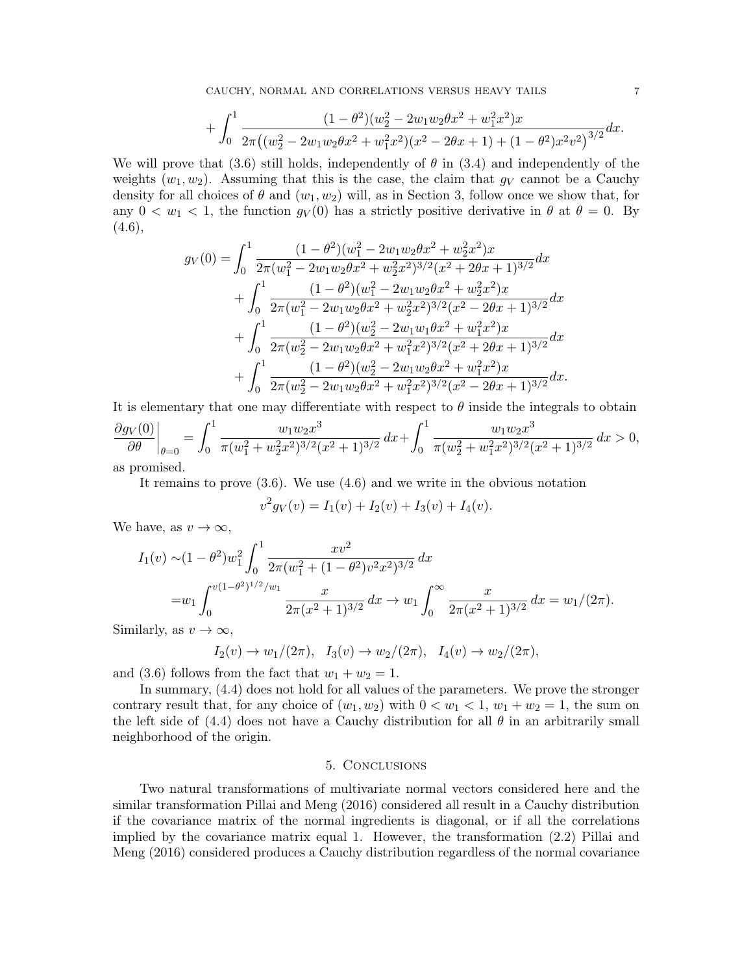$$
+\int_0^1 \frac{(1-\theta^2)(w_2^2 - 2w_1w_2\theta x^2 + w_1^2x^2)x}{2\pi\left((w_2^2 - 2w_1w_2\theta x^2 + w_1^2x^2)(x^2 - 2\theta x + 1) + (1 - \theta^2)x^2v^2\right)^{3/2}}dx.
$$

We will prove that (3.6) still holds, independently of  $\theta$  in (3.4) and independently of the weights  $(w_1, w_2)$ . Assuming that this is the case, the claim that  $g_V$  cannot be a Cauchy density for all choices of  $\theta$  and  $(w_1, w_2)$  will, as in Section 3, follow once we show that, for any  $0 < w_1 < 1$ , the function  $q_V(0)$  has a strictly positive derivative in  $\theta$  at  $\theta = 0$ . By  $(4.6),$ 

$$
g_V(0) = \int_0^1 \frac{(1 - \theta^2)(w_1^2 - 2w_1w_2\theta x^2 + w_2^2x^2)x}{2\pi(w_1^2 - 2w_1w_2\theta x^2 + w_2^2x^2)^{3/2}(x^2 + 2\theta x + 1)^{3/2}} dx
$$
  
+ 
$$
\int_0^1 \frac{(1 - \theta^2)(w_1^2 - 2w_1w_2\theta x^2 + w_2^2x^2)x}{2\pi(w_1^2 - 2w_1w_2\theta x^2 + w_2^2x^2)^{3/2}(x^2 - 2\theta x + 1)^{3/2}} dx
$$
  
+ 
$$
\int_0^1 \frac{(1 - \theta^2)(w_2^2 - 2w_1w_1\theta x^2 + w_1^2x^2)x}{2\pi(w_2^2 - 2w_1w_2\theta x^2 + w_1^2x^2)^{3/2}(x^2 + 2\theta x + 1)^{3/2}} dx
$$
  
+ 
$$
\int_0^1 \frac{(1 - \theta^2)(w_2^2 - 2w_1w_2\theta x^2 + w_1^2x^2)x}{2\pi(w_2^2 - 2w_1w_2\theta x^2 + w_1^2x^2)^{3/2}(x^2 - 2\theta x + 1)^{3/2}} dx.
$$

It is elementary that one may differentiate with respect to  $\theta$  inside the integrals to obtain  $\sim$  1 3  $\int_1^1$ 3

$$
\frac{\partial g_V(0)}{\partial \theta}\Big|_{\theta=0} = \int_0^1 \frac{w_1 w_2 x^3}{\pi (w_1^2 + w_2^2 x^2)^{3/2} (x^2 + 1)^{3/2}} dx + \int_0^1 \frac{w_1 w_2 x^3}{\pi (w_2^2 + w_1^2 x^2)^{3/2} (x^2 + 1)^{3/2}} dx > 0,
$$
as promised.

It remains to prove (3.6). We use (4.6) and we write in the obvious notation

$$
v^{2}g_{V}(v) = I_{1}(v) + I_{2}(v) + I_{3}(v) + I_{4}(v).
$$

We have, as  $v \to \infty$ ,

$$
I_1(v) \sim (1 - \theta^2) w_1^2 \int_0^1 \frac{xv^2}{2\pi (w_1^2 + (1 - \theta^2)v^2 x^2)^{3/2}} dx
$$
  
=  $w_1 \int_0^{v(1 - \theta^2)^{1/2}/w_1} \frac{x}{2\pi (x^2 + 1)^{3/2}} dx \to w_1 \int_0^\infty \frac{x}{2\pi (x^2 + 1)^{3/2}} dx = w_1/(2\pi).$ 

Similarly, as  $v \to \infty$ ,

$$
I_2(v) \to w_1/(2\pi), \quad I_3(v) \to w_2/(2\pi), \quad I_4(v) \to w_2/(2\pi),
$$

and (3.6) follows from the fact that  $w_1 + w_2 = 1$ .

In summary, (4.4) does not hold for all values of the parameters. We prove the stronger contrary result that, for any choice of  $(w_1, w_2)$  with  $0 < w_1 < 1$ ,  $w_1 + w_2 = 1$ , the sum on the left side of (4.4) does not have a Cauchy distribution for all  $\theta$  in an arbitrarily small neighborhood of the origin.

## 5. Conclusions

Two natural transformations of multivariate normal vectors considered here and the similar transformation Pillai and Meng (2016) considered all result in a Cauchy distribution if the covariance matrix of the normal ingredients is diagonal, or if all the correlations implied by the covariance matrix equal 1. However, the transformation (2.2) Pillai and Meng (2016) considered produces a Cauchy distribution regardless of the normal covariance